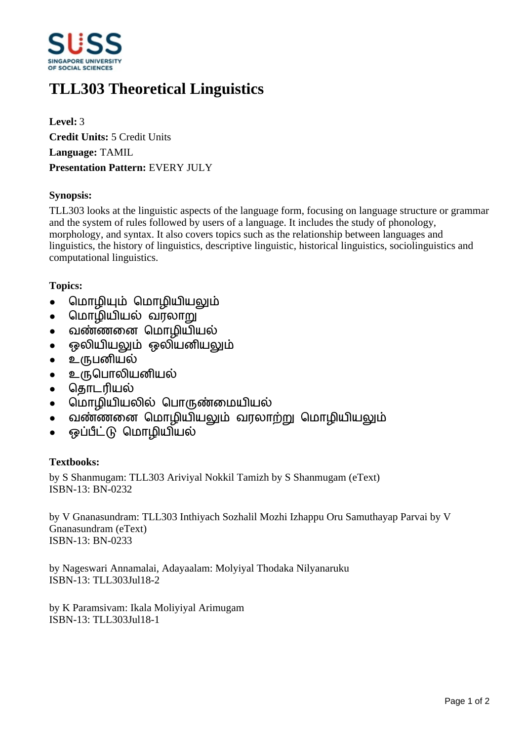

# **TLL303 Theoretical Linguistics**

**Level:** 3 **Credit Units:** 5 Credit Units **Language:** TAMIL **Presentation Pattern:** EVERY JULY

### **Synopsis:**

TLL303 looks at the linguistic aspects of the language form, focusing on language structure or grammar and the system of rules followed by users of a language. It includes the study of phonology, morphology, and syntax. It also covers topics such as the relationship between languages and linguistics, the history of linguistics, descriptive linguistic, historical linguistics, sociolinguistics and computational linguistics.

## **Topics:**

- மொழியும் மொழியியலும்
- மொழியியல் வரலாறு
- வண்ணனை மொழியியல்
- ஒலியியலும் ஒலியனியலும்
- உருபனியல்
- உருபொலியனியல்
- தொடரியல்
- மொழியியலில் பொருண்மையியல்
- வண்ணனை மொழியியலும் வரலாற்று மொழியியலும்
- ஒப்பீட்டு மொழியியல்

### **Textbooks:**

by S Shanmugam: TLL303 Ariviyal Nokkil Tamizh by S Shanmugam (eText) ISBN-13: BN-0232

by V Gnanasundram: TLL303 Inthiyach Sozhalil Mozhi Izhappu Oru Samuthayap Parvai by V Gnanasundram (eText) ISBN-13: BN-0233

by Nageswari Annamalai, Adayaalam: Molyiyal Thodaka Nilyanaruku ISBN-13: TLL303Jul18-2

by K Paramsivam: Ikala Moliyiyal Arimugam ISBN-13: TLL303Jul18-1